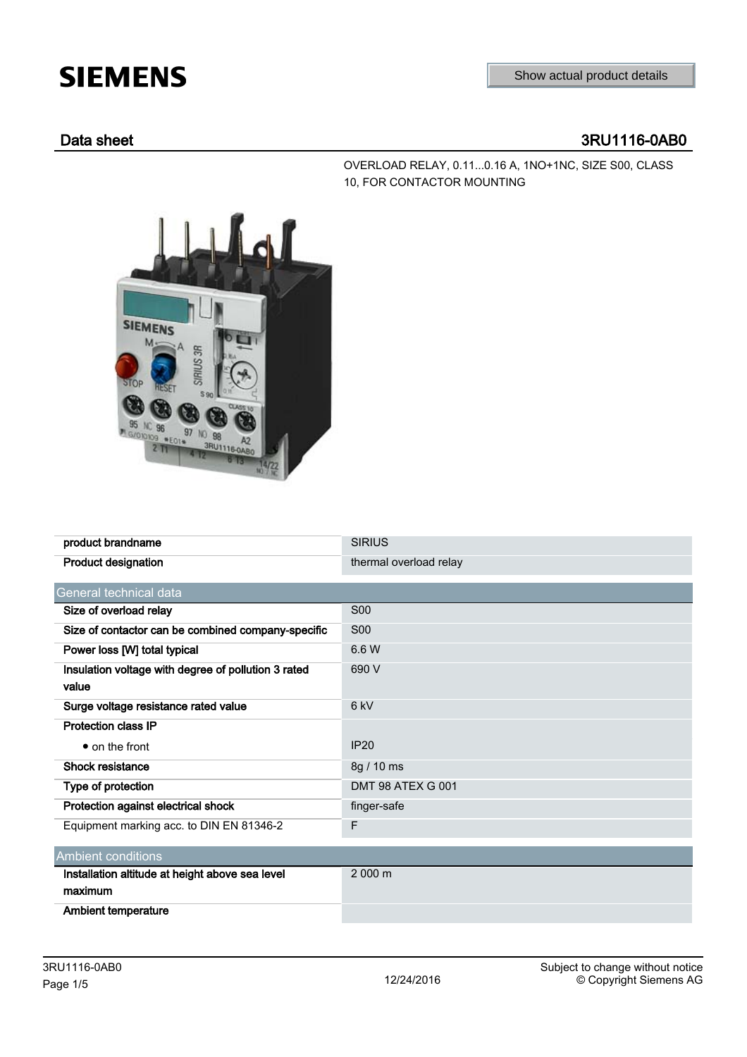## **SIEMENS**

OVERLOAD RELAY, 0.11...0.16 A, 1NO+1NC, SIZE S00, CLASS

10, FOR CONTACTOR MOUNTING

## Data sheet 3RU1116-0AB0

**SIEMENS** US 3R 97 98 3RU1116

product brandname SIRIUS Product designation thermal overload relay General technical data Size of overload relay S00 Size of contactor can be combined company-specific S00 Power loss [W] total typical 6.6 W Insulation voltage with degree of pollution 3 rated value 690 V Surge voltage resistance rated value 6 kV Protection class IP ● on the front IP20 Shock resistance 8g / 10 ms Type of protection DMT 98 ATEX G 001 Protection against electrical shock finger-safe Equipment marking acc. to DIN EN 81346-2 Ambient conditions Installation altitude at height above sea level maximum 2 000 m Ambient temperature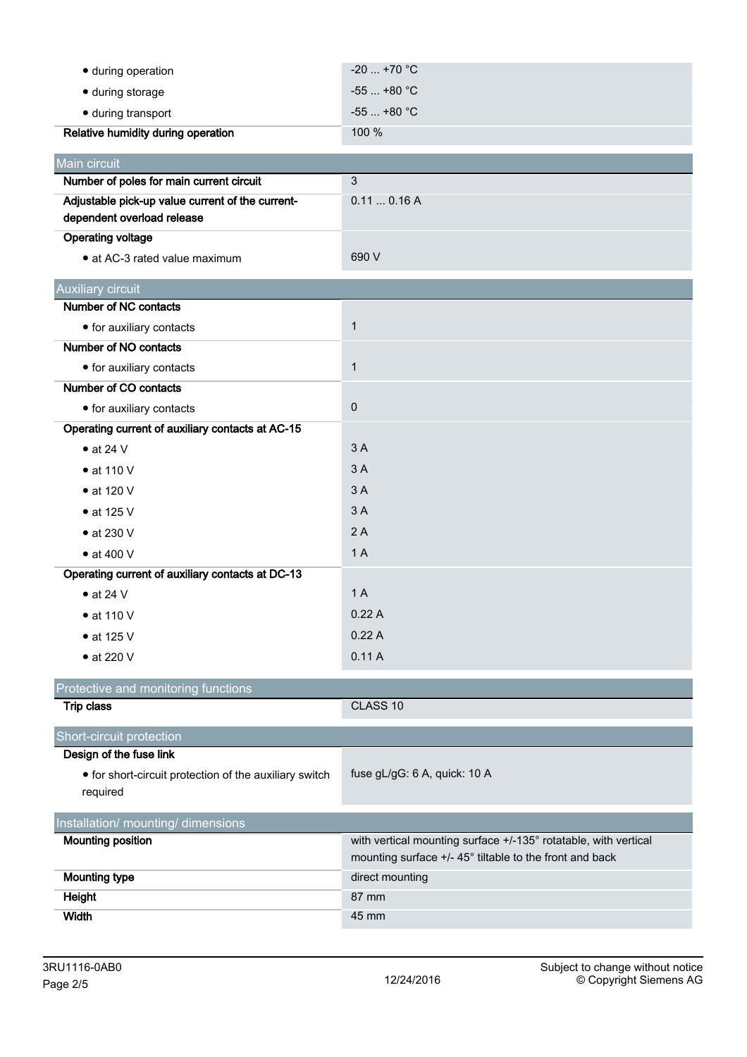| · during operation                                                 | $-20$ +70 °C                                                    |
|--------------------------------------------------------------------|-----------------------------------------------------------------|
| · during storage                                                   | $-55+80 °C$                                                     |
| · during transport                                                 | $-55$ +80 °C                                                    |
| Relative humidity during operation                                 | 100 %                                                           |
| Main circuit                                                       |                                                                 |
| Number of poles for main current circuit                           | $\mathbf{3}$                                                    |
| Adjustable pick-up value current of the current-                   | 0.110.16A                                                       |
| dependent overload release                                         |                                                                 |
| <b>Operating voltage</b>                                           |                                                                 |
| • at AC-3 rated value maximum                                      | 690 V                                                           |
| <b>Auxiliary circuit</b>                                           |                                                                 |
| Number of NC contacts                                              |                                                                 |
| • for auxiliary contacts                                           | $\mathbf{1}$                                                    |
| Number of NO contacts                                              |                                                                 |
| $\bullet$ for auxiliary contacts                                   | $\mathbf{1}$                                                    |
| Number of CO contacts                                              |                                                                 |
| • for auxiliary contacts                                           | $\pmb{0}$                                                       |
| Operating current of auxiliary contacts at AC-15                   |                                                                 |
| $\bullet$ at 24 V                                                  | 3A                                                              |
| $\bullet$ at 110 V                                                 | 3A                                                              |
| • at 120 V                                                         | 3A                                                              |
| • at 125 V                                                         | 3A                                                              |
| $\bullet$ at 230 V                                                 | 2A                                                              |
| $\bullet$ at 400 V                                                 | 1A                                                              |
| Operating current of auxiliary contacts at DC-13                   |                                                                 |
| $\bullet$ at 24 V                                                  | 1A                                                              |
| $\bullet$ at 110 V                                                 | 0.22A                                                           |
| $\bullet$ at 125 V                                                 | 0.22A                                                           |
| • at 220 V                                                         | 0.11A                                                           |
| Protective and monitoring functions                                |                                                                 |
| <b>Trip class</b>                                                  | CLASS 10                                                        |
| Short-circuit protection                                           |                                                                 |
| Design of the fuse link                                            |                                                                 |
| • for short-circuit protection of the auxiliary switch<br>required | fuse gL/gG: 6 A, quick: 10 A                                    |
| Installation/ mounting/ dimensions                                 |                                                                 |
| <b>Mounting position</b>                                           | with vertical mounting surface +/-135° rotatable, with vertical |
|                                                                    | mounting surface +/- 45° tiltable to the front and back         |
| <b>Mounting type</b>                                               | direct mounting                                                 |
| <b>Height</b>                                                      | 87 mm                                                           |
| Width                                                              | 45 mm                                                           |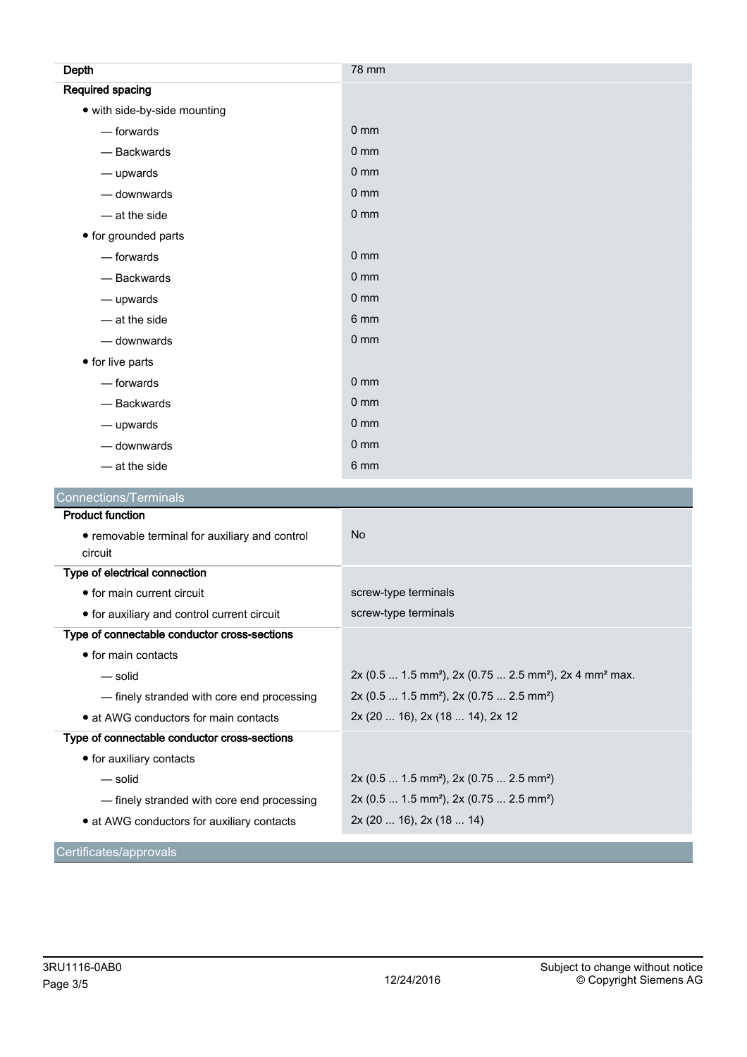| Depth                        | 78 mm           |
|------------------------------|-----------------|
| <b>Required spacing</b>      |                 |
| • with side-by-side mounting |                 |
| $-$ forwards                 | 0 <sub>mm</sub> |
| - Backwards                  | 0 <sub>mm</sub> |
| $-\omega$ upwards            | 0 <sub>mm</sub> |
| - downwards                  | 0 <sub>mm</sub> |
| $-$ at the side              | 0 <sub>mm</sub> |
| • for grounded parts         |                 |
| $-$ forwards                 | 0 <sub>mm</sub> |
| - Backwards                  | 0 <sub>mm</sub> |
| - upwards                    | 0 <sub>mm</sub> |
| $-$ at the side              | 6 mm            |
| - downwards                  | $0 \text{ mm}$  |
| • for live parts             |                 |
| $-$ forwards                 | 0 <sub>mm</sub> |
| - Backwards                  | 0 <sub>mm</sub> |
| $-\omega$ upwards            | $0 \text{ mm}$  |
| - downwards                  | $0 \text{ mm}$  |
| $-$ at the side              | 6 mm            |
| Connections/Terminals        |                 |

| <b>Product function</b>                        |                                                                                              |
|------------------------------------------------|----------------------------------------------------------------------------------------------|
| • removable terminal for auxiliary and control | N <sub>o</sub>                                                                               |
| circuit                                        |                                                                                              |
| Type of electrical connection                  |                                                                                              |
| • for main current circuit                     | screw-type terminals                                                                         |
| • for auxiliary and control current circuit    | screw-type terminals                                                                         |
| Type of connectable conductor cross-sections   |                                                                                              |
| $\bullet$ for main contacts                    |                                                                                              |
| — solid                                        | $2x$ (0.5  1.5 mm <sup>2</sup> ), 2x (0.75  2.5 mm <sup>2</sup> ), 2x 4 mm <sup>2</sup> max. |
| - finely stranded with core end processing     | 2x (0.5  1.5 mm <sup>2</sup> ), 2x (0.75  2.5 mm <sup>2</sup> )                              |
| • at AWG conductors for main contacts          | 2x (20  16), 2x (18  14), 2x 12                                                              |
| Type of connectable conductor cross-sections   |                                                                                              |
| • for auxiliary contacts                       |                                                                                              |
| — solid                                        | 2x (0.5  1.5 mm <sup>2</sup> ), 2x (0.75  2.5 mm <sup>2</sup> )                              |
| — finely stranded with core end processing     | $2x (0.5  1.5 mm2)$ , $2x (0.75  2.5 mm2)$                                                   |
| • at AWG conductors for auxiliary contacts     | 2x(2016), 2x(1814)                                                                           |
| Certificates/approvals                         |                                                                                              |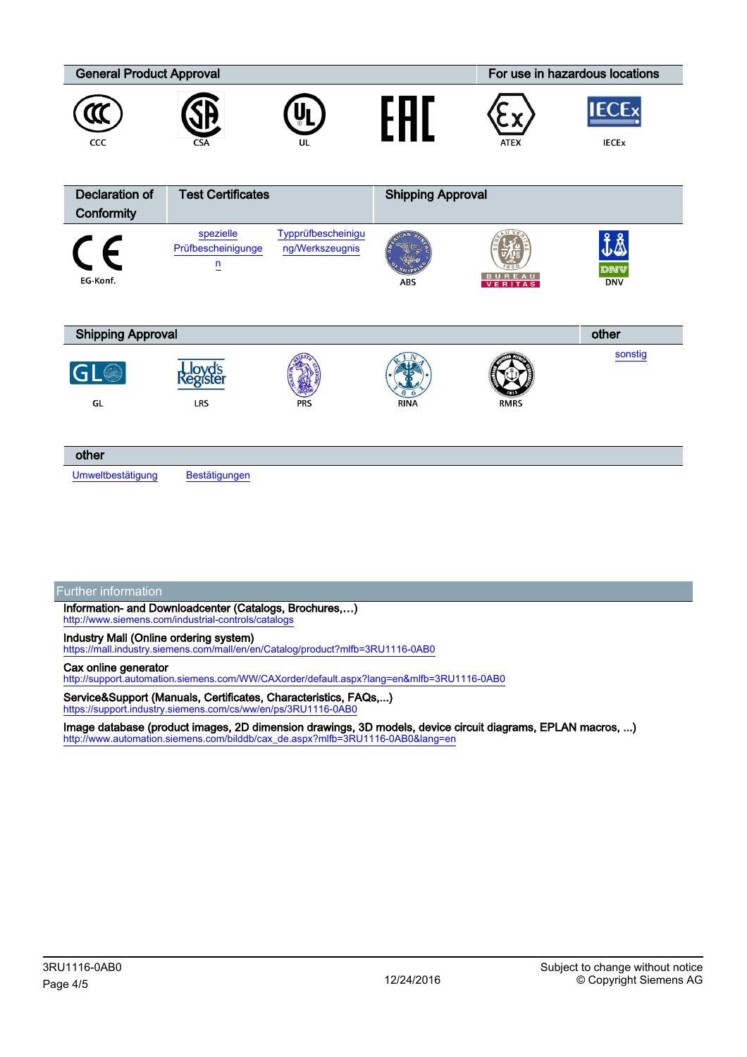| <b>General Product Approval</b> |                                                   |                                       |                          |               | For use in hazardous locations |  |
|---------------------------------|---------------------------------------------------|---------------------------------------|--------------------------|---------------|--------------------------------|--|
| CCC                             | CSA                                               | UL                                    |                          | <b>ATEX</b>   | <b>IECEx</b><br><b>IECEX</b>   |  |
| <b>Declaration of</b>           | <b>Test Certificates</b>                          |                                       | <b>Shipping Approval</b> |               |                                |  |
| Conformity                      |                                                   |                                       |                          |               |                                |  |
| $\epsilon$<br>EG-Konf.          | spezielle<br>Prüfbescheinigunge<br>$\overline{u}$ | Typprüfbescheinigu<br>ng/Werkszeugnis | ABS                      | <b>BUREAU</b> | ₫Å<br>dnv<br><b>DNV</b>        |  |
| <b>Shipping Approval</b>        |                                                   |                                       |                          |               | other                          |  |
| GL®<br>GL                       | <b>Lloyd's</b><br>Register<br>LRS                 | <b>PRS</b>                            | <b>RINA</b>              | <b>RMRS</b>   | sonstig                        |  |
| other                           |                                                   |                                       |                          |               |                                |  |
| Umweltbestätigung               | Bestätigungen                                     |                                       |                          |               |                                |  |

Further information

Information- and Downloadcenter (Catalogs, Brochures,…) <http://www.siemens.com/industrial-controls/catalogs>

Industry Mall (Online ordering system)

<https://mall.industry.siemens.com/mall/en/en/Catalog/product?mlfb=3RU1116-0AB0>

## Cax online generator

<http://support.automation.siemens.com/WW/CAXorder/default.aspx?lang=en&mlfb=3RU1116-0AB0>

Service&Support (Manuals, Certificates, Characteristics, FAQs,...) <https://support.industry.siemens.com/cs/ww/en/ps/3RU1116-0AB0>

Image database (product images, 2D dimension drawings, 3D models, device circuit diagrams, EPLAN macros, ...) [http://www.automation.siemens.com/bilddb/cax\\_de.aspx?mlfb=3RU1116-0AB0&lang=en](http://www.automation.siemens.com/bilddb/cax_de.aspx?mlfb=3RU1116-0AB0&lang=en)